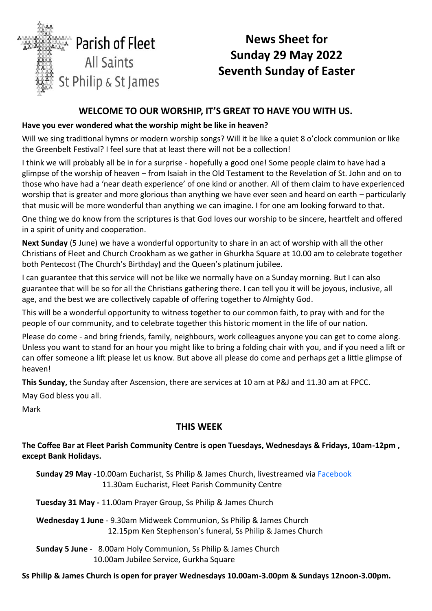

# **News Sheet for Sunday 29 May 2022 Seventh Sunday of Easter**

# **WELCOME TO OUR WORSHIP, IT'S GREAT TO HAVE YOU WITH US.**

#### **Have you ever wondered what the worship might be like in heaven?**

Will we sing traditional hymns or modern worship songs? Will it be like a quiet 8 o'clock communion or like the Greenbelt Festival? I feel sure that at least there will not be a collection!

I think we will probably all be in for a surprise - hopefully a good one! Some people claim to have had a glimpse of the worship of heaven – from Isaiah in the Old Testament to the Revelation of St. John and on to those who have had a 'near death experience' of one kind or another. All of them claim to have experienced worship that is greater and more glorious than anything we have ever seen and heard on earth – particularly that music will be more wonderful than anything we can imagine. I for one am looking forward to that.

One thing we do know from the scriptures is that God loves our worship to be sincere, heartfelt and offered in a spirit of unity and cooperation.

**Next Sunday** (5 June) we have a wonderful opportunity to share in an act of worship with all the other Christians of Fleet and Church Crookham as we gather in Ghurkha Square at 10.00 am to celebrate together both Pentecost (The Church's Birthday) and the Queen's platinum jubilee.

I can guarantee that this service will not be like we normally have on a Sunday morning. But I can also guarantee that will be so for all the Christians gathering there. I can tell you it will be joyous, inclusive, all age, and the best we are collectively capable of offering together to Almighty God.

This will be a wonderful opportunity to witness together to our common faith, to pray with and for the people of our community, and to celebrate together this historic moment in the life of our nation.

Please do come - and bring friends, family, neighbours, work colleagues anyone you can get to come along. Unless you want to stand for an hour you might like to bring a folding chair with you, and if you need a lift or can offer someone a lift please let us know. But above all please do come and perhaps get a little glimpse of heaven!

**This Sunday,** the Sunday after Ascension, there are services at 10 am at P&J and 11.30 am at FPCC.

May God bless you all.

Mark

# **THIS WEE[K](http://www.facebook.com/parishoffleet)**

**The Coffee Bar at Fleet Parish Community Centre is open Tuesdays, Wednesdays & Fridays, 10am-12pm , except Bank Holidays.** 

**Sunday 29 May** -10.00am Eucharist, Ss Philip & James Church, livestreamed via [Facebook](http://www.facebook.com/parishoffleet) 11.30am Eucharist, Fleet Parish Community Centre

**Tuesday 31 May -** 11.00am Prayer Group, Ss Philip & James Church

**Wednesday 1 June** - 9.30am Midweek Communion, Ss Philip & James Church 12.15pm Ken Stephenson's funeral, Ss Philip & James Church

**Sunday 5 June** -8.00am Holy Communion, Ss Philip & James Church 10.00am Jubilee Service, Gurkha Square

**Ss Philip & James Church is open for prayer Wednesdays 10.00am-3.00pm & Sundays 12noon-3.00pm.**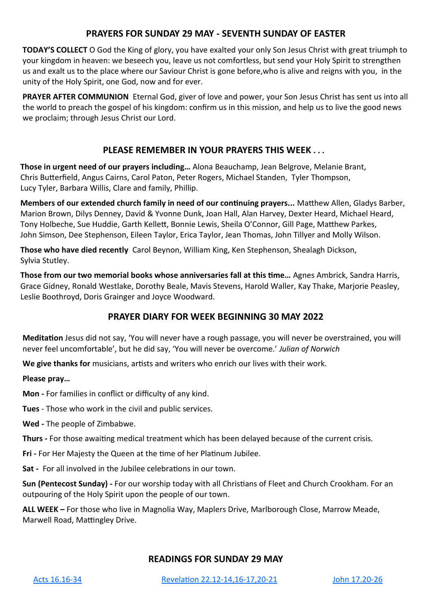#### **PRAYERS FOR SUNDAY 29 MAY - SEVENTH SUNDAY OF EASTER**

**TODAY'S COLLECT** O God the King of glory, you have exalted your only Son Jesus Christ with great triumph to your kingdom in heaven: we beseech you, leave us not comfortless, but send your Holy Spirit to strengthen us and exalt us to the place where our Saviour Christ is gone before,who is alive and reigns with you, in the unity of the Holy Spirit, one God, now and for ever.

**PRAYER AFTER COMMUNION** Eternal God, giver of love and power, your Son Jesus Christ has sent us into all the world to preach the gospel of his kingdom: confirm us in this mission, and help us to live the good news we proclaim; through Jesus Christ our Lord.

#### **PLEASE REMEMBER IN YOUR PRAYERS THIS WEEK . . .**

**Those in urgent need of our prayers including…** Alona Beauchamp, Jean Belgrove, Melanie Brant, Chris Butterfield, Angus Cairns, Carol Paton, Peter Rogers, Michael Standen, Tyler Thompson, Lucy Tyler, Barbara Willis, Clare and family, Phillip.

**Members of our extended church family in need of our continuing prayers...** Matthew Allen, Gladys Barber, Marion Brown, Dilys Denney, David & Yvonne Dunk, Joan Hall, Alan Harvey, Dexter Heard, Michael Heard, Tony Holbeche, Sue Huddie, Garth Kellett, Bonnie Lewis, Sheila O'Connor, Gill Page, Matthew Parkes, John Simson, Dee Stephenson, Eileen Taylor, Erica Taylor, Jean Thomas, John Tillyer and Molly Wilson.

**Those who have died recently** Carol Beynon, William King, Ken Stephenson, Shealagh Dickson, Sylvia Stutley.

**Those from our two memorial books whose anniversaries fall at this time…** Agnes Ambrick, Sandra Harris, Grace Gidney, Ronald Westlake, Dorothy Beale, Mavis Stevens, Harold Waller, Kay Thake, Marjorie Peasley, Leslie Boothroyd, Doris Grainger and Joyce Woodward.

#### **PRAYER DIARY FOR WEEK BEGINNING 30 MAY 2022**

**Meditation** Jesus did not say, 'You will never have a rough passage, you will never be overstrained, you will never feel uncomfortable', but he did say, 'You will never be overcome.' *Julian of Norwich*

**We give thanks for** musicians, artists and writers who enrich our lives with their work.

**Please pray…**

**Mon -** For families in conflict or difficulty of any kind.

**Tues** - Those who work in the civil and public services.

**Wed -** The people of Zimbabwe.

**Thurs -** For those awaiting medical treatment which has been delayed because of the current crisis.

**Fri -** For Her Majesty the Queen at the time of her Platinum Jubilee.

**Sat -** For all involved in the Jubilee celebrations in our town.

**Sun (Pentecost Sunday) -** For our worship today with all Christians of Fleet and Church Crookham. For an outpouring of the Holy Spirit upon the people of our town.

**ALL WEEK –** For those who live in Magnolia Way, Maplers Drive, Marlborough Close, Marrow Meade, Marwell Road, Mattingley Drive.

#### **READINGS FOR SUNDAY 29 MAY**